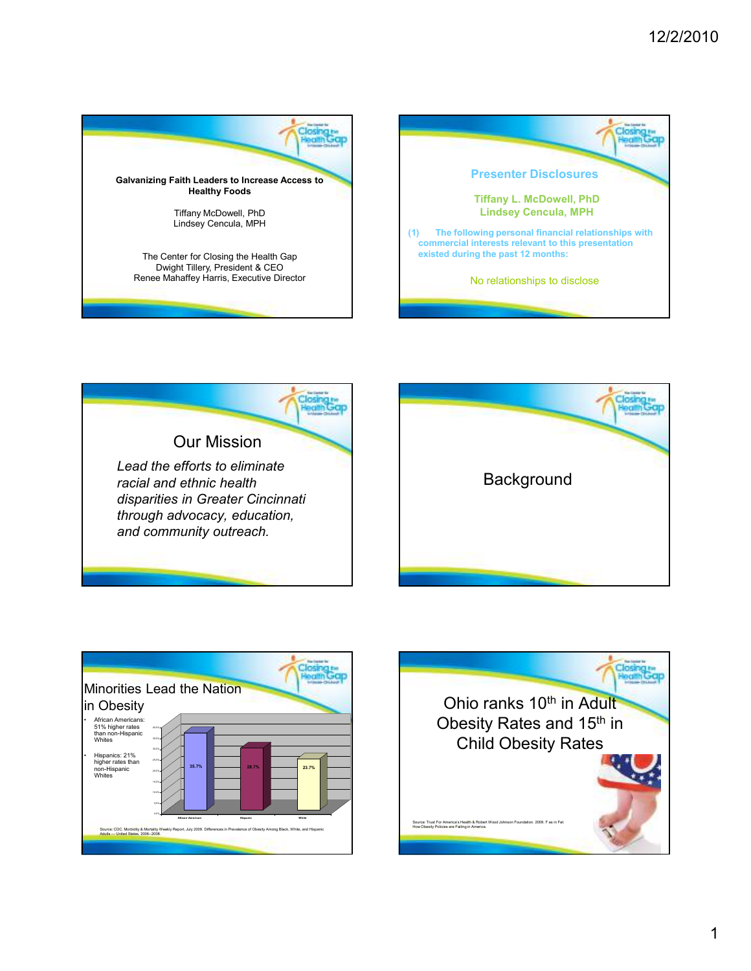









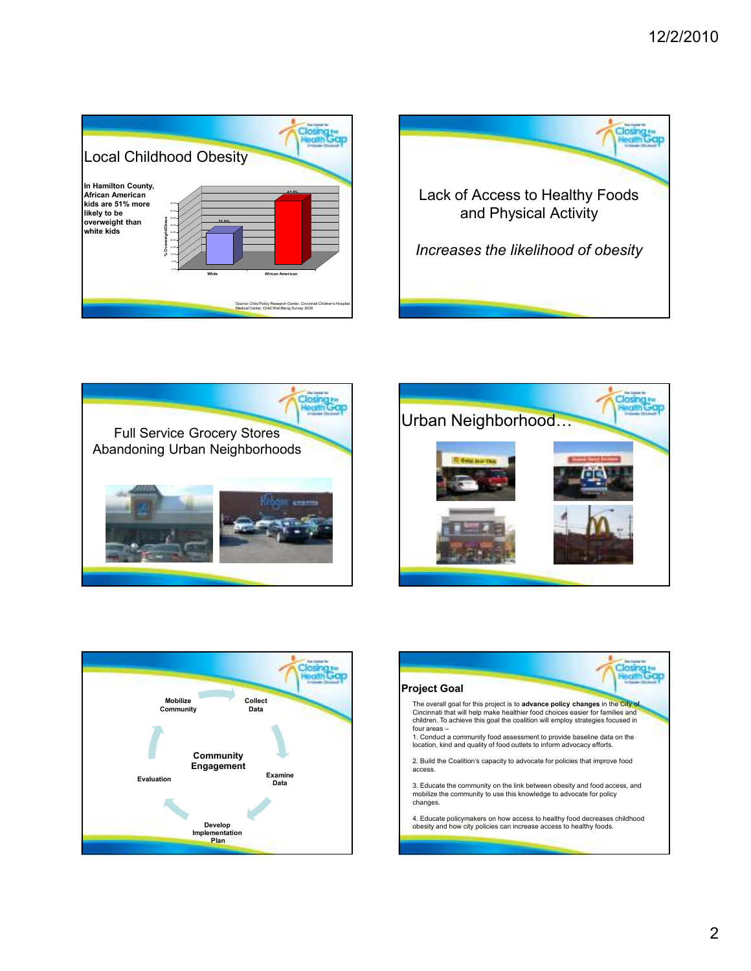









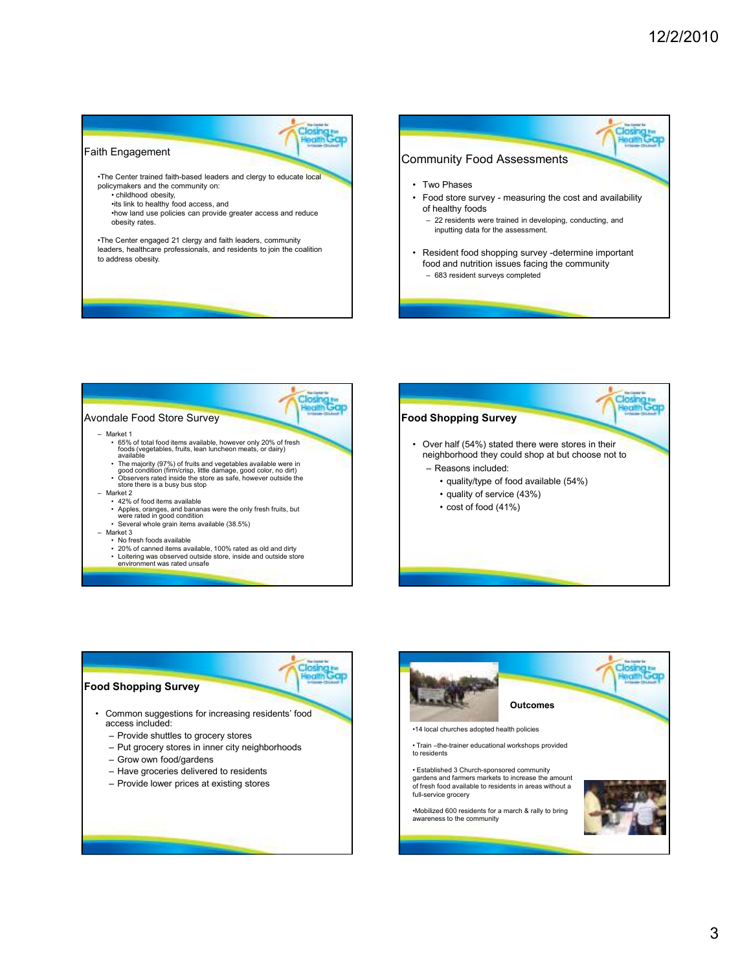Closing

κü

## Closing to Closing to Faith Engagement Community Food Assessments •The Center trained faith-based leaders and clergy to educate local • Two Phases policymakers and the community on: • childhood obesity, • Food store survey - measuring the cost and availability •its link to healthy food access, and of healthy foods •how land use policies can provide greater access and reduce – 22 residents were trained in developing, conducting, and obesity rates. inputting data for the assessment. •The Center engaged 21 clergy and faith leaders, community leaders, healthcare professionals, and residents to join the coalition • Resident food shopping survey -determine important to address obesity. food and nutrition issues facing the community – 683 resident surveys completed



## Closing to **Food Shopping Survey** • Common suggestions for increasing residents' food access included: – Provide shuttles to grocery stores – Put grocery stores in inner city neighborhoods – Grow own food/gardens – Have groceries delivered to residents – Provide lower prices at existing stores